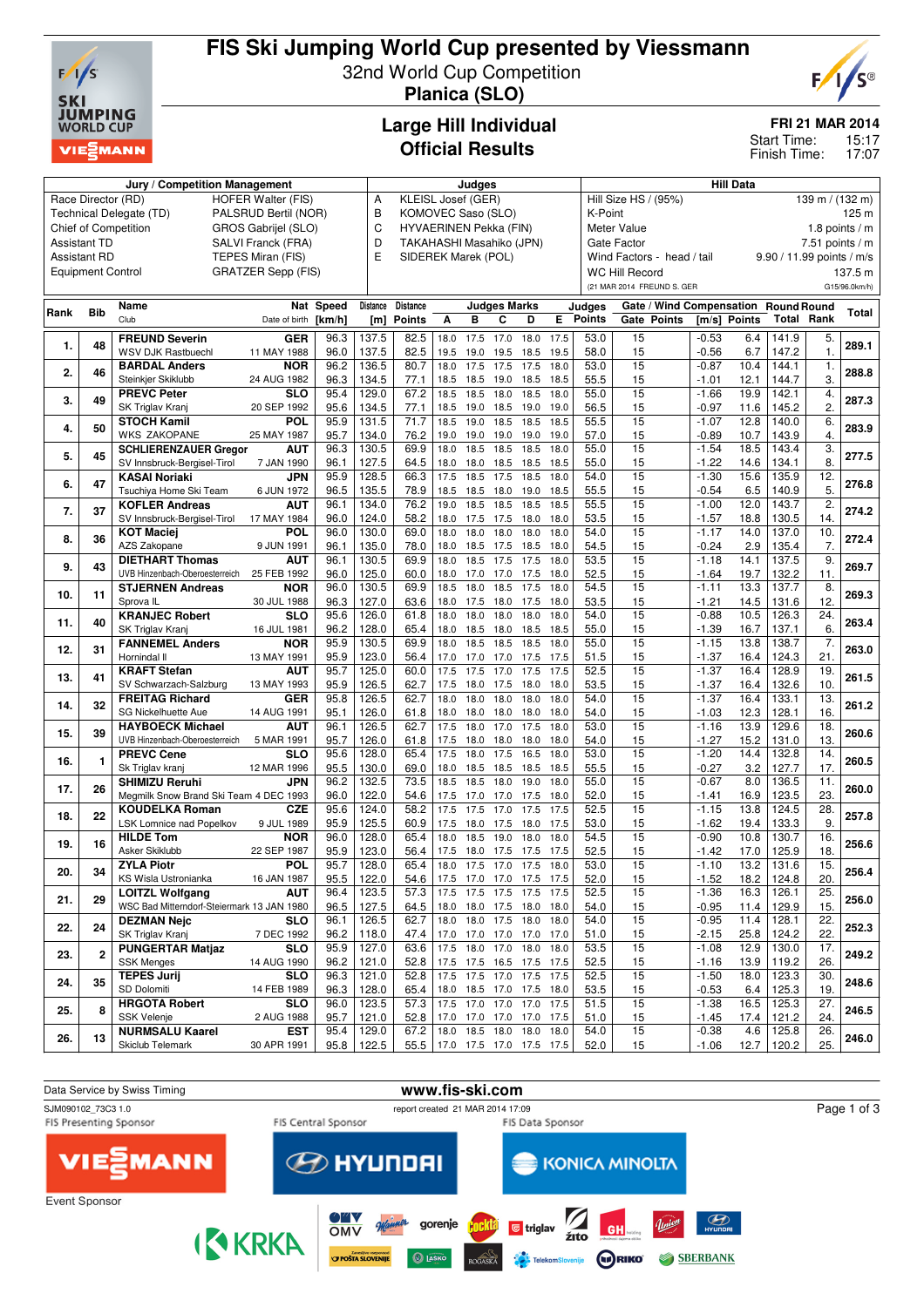

## **FIS Ski Jumping World Cup presented by Viessmann** 32nd World Cup Competition

**Planica (SLO)**



**FRI 21 MAR 2014**

15:17 17:07 Start Time: Finish Time:

### **Large Hill Individual Official Results**

| Jury / Competition Management                   |                                                 |                                                                      |                           |              |                | Judges                                            |                               |              |                     |           |                             |                                           | <b>Hill Data</b>           |                                      |              |                |                   |               |  |
|-------------------------------------------------|-------------------------------------------------|----------------------------------------------------------------------|---------------------------|--------------|----------------|---------------------------------------------------|-------------------------------|--------------|---------------------|-----------|-----------------------------|-------------------------------------------|----------------------------|--------------------------------------|--------------|----------------|-------------------|---------------|--|
| Race Director (RD)<br><b>HOFER Walter (FIS)</b> |                                                 |                                                                      |                           |              |                | KLEISL Josef (GER)<br>A                           |                               |              |                     |           |                             | Hill Size HS / (95%)<br>139 m / $(132 m)$ |                            |                                      |              |                |                   |               |  |
|                                                 | Technical Delegate (TD)<br>PALSRUD Bertil (NOR) |                                                                      |                           |              |                | B<br>KOMOVEC Saso (SLO)                           |                               |              |                     |           | K-Point<br>125 <sub>m</sub> |                                           |                            |                                      |              |                |                   |               |  |
| Chief of Competition<br>GROS Gabrijel (SLO)     |                                                 |                                                                      |                           |              |                | C<br>HYVAERINEN Pekka (FIN)                       |                               |              |                     |           |                             | Meter Value<br>1.8 points $/m$            |                            |                                      |              |                |                   |               |  |
| <b>Assistant TD</b><br>SALVI Franck (FRA)       |                                                 |                                                                      |                           |              |                | D<br>TAKAHASHI Masahiko (JPN)                     |                               |              |                     |           |                             | <b>Gate Factor</b><br>7.51 points $/m$    |                            |                                      |              |                |                   |               |  |
|                                                 | <b>Assistant RD</b>                             |                                                                      | TEPES Miran (FIS)         |              | E              | SIDEREK Marek (POL)<br>Wind Factors - head / tail |                               |              |                     |           |                             |                                           | 9.90 / 11.99 points / m/s  |                                      |              |                |                   |               |  |
|                                                 | <b>Equipment Control</b>                        |                                                                      | <b>GRATZER Sepp (FIS)</b> |              |                |                                                   |                               |              |                     |           |                             |                                           | <b>WC Hill Record</b>      |                                      |              |                |                   | 137.5 m       |  |
|                                                 |                                                 |                                                                      |                           |              |                |                                                   |                               |              |                     |           |                             |                                           | (21 MAR 2014 FREUND S. GER |                                      |              |                |                   | G15/96.0km/h) |  |
|                                                 |                                                 |                                                                      |                           |              |                |                                                   |                               |              |                     |           |                             |                                           |                            |                                      |              |                |                   |               |  |
| Rank                                            | <b>Bib</b>                                      | Name                                                                 |                           | Nat Speed    | Distance       | <b>Distance</b>                                   |                               |              | <b>Judges Marks</b> |           |                             | Judges                                    |                            | Gate / Wind Compensation Round Round |              |                |                   | Total         |  |
|                                                 |                                                 | Club                                                                 | Date of birth             | [km/h]       | [m]            | <b>Points</b>                                     | А                             | в            | c                   | D         | E.                          | <b>Points</b>                             | Gate Points                |                                      | [m/s] Points |                | <b>Total Rank</b> |               |  |
|                                                 |                                                 | <b>FREUND Severin</b>                                                | <b>GER</b>                | 96.3         | 137.5          | 82.5                                              | 18.0                          | 17.5         | 17.0                | 18.0      | 17.5                        | 53.0                                      | 15                         | $-0.53$                              | 6.4          | 141.9          | 5.                |               |  |
| 1.                                              | 48                                              | <b>WSV DJK Rastbuechl</b>                                            | 11 MAY 1988               | 96.0         | 137.5          | 82.5                                              | 19.5                          | 19.0         | 19.5                | 18.5      | 19.5                        | 58.0                                      | 15                         | $-0.56$                              | 6.7          | 147.2          | $\mathbf 1$       | 289.1         |  |
|                                                 |                                                 | <b>BARDAL Anders</b>                                                 | <b>NOR</b>                | 96.2         | 136.5          | 80.7                                              | 18.0                          | 17.5         | 17.5                | 17.5      | 18.0                        | 53.0                                      | 15                         | $-0.87$                              | 10.4         | 144.1          | 1.                |               |  |
| 2.                                              | 46                                              | Steinkjer Skiklubb                                                   | 24 AUG 1982               | 96.3         | 134.5          | 77.1                                              | 18.5                          | 18.5         | 19.0                | 18.5      | 18.5                        | 55.5                                      | 15                         | $-1.01$                              | 12.1         | 144.7          | 3.                | 288.8         |  |
|                                                 |                                                 | <b>PREVC Peter</b>                                                   | <b>SLO</b>                | 95.4         | 129.0          | 67.2                                              | 18.5                          | 18.5         | 18.0                | 18.5      | 18.0                        | 55.0                                      | 15                         | $-1.66$                              | 19.9         | 142.1          | 4.                |               |  |
| 3.                                              | 49                                              | SK Triglav Kranj                                                     | 20 SEP 1992               | 95.6         | 134.5          | 77.1                                              | 18.5                          | 19.0 18.5    |                     | 19.0      | 19.0                        | 56.5                                      | 15                         | $-0.97$                              | 11.6         | 145.2          | $\overline{2}$    | 287.3         |  |
|                                                 |                                                 | <b>STOCH Kamil</b>                                                   | <b>POL</b>                | 95.9         | 131.5          | 71.7                                              | 18.5                          | 19.0         | 18.5                | 18.5      | 18.5                        | 55.5                                      | $\overline{15}$            | $-1.07$                              | 12.8         | 140.0          | 6.                |               |  |
| 4.                                              | 50                                              | <b>WKS ZAKOPANE</b>                                                  | 25 MAY 1987               | 95.7         | 134.0          | 76.2                                              | 19.0                          | 19.0         | 19.0                | 19.0      | 19.0                        | 57.0                                      | 15                         | $-0.89$                              | 10.7         | 143.9          | 4.                | 283.9         |  |
|                                                 |                                                 | <b>SCHLIERENZAUER Gregor</b>                                         | <b>AUT</b>                | 96.3         | 130.5          | 69.9                                              | 18.0                          | 18.5         | 18.5                | 18.5      | 18.0                        | 55.0                                      | 15                         | $-1.54$                              | 18.5         | 143.4          | $\overline{3}$ .  |               |  |
| 5.                                              | 45                                              | SV Innsbruck-Bergisel-Tirol                                          | 7 JAN 1990                | 96.1         | 127.5          | 64.5                                              | 18.0                          | 18.0         | 18.5                | 18.5      | 18.5                        | 55.0                                      | 15                         | $-1.22$                              | 14.6         | 134.1          | 8.                | 277.5         |  |
|                                                 |                                                 | <b>KASAI Noriaki</b>                                                 | JPN                       | 95.9         | 128.5          | 66.3                                              | 17.5                          | 18.5         | 17.5                | 18.5      | 18.0                        | 54.0                                      | $\overline{15}$            | $-1.30$                              | 15.6         | 135.9          | 12.               |               |  |
| 6.                                              | 47                                              | Tsuchiya Home Ski Team                                               | 6 JUN 1972                | 96.5         | 135.5          | 78.9                                              | 18.5                          | 18.5         | 18.0                | 19.0      | 18.5                        | 55.5                                      | 15                         | $-0.54$                              | 6.5          | 140.9          | 5.                | 276.8         |  |
|                                                 |                                                 | <b>KOFLER Andreas</b>                                                | <b>AUT</b>                | 96.1         | 134.0          | 76.2                                              | 19.0                          | 18.5         | 18.5                | 18.5      | 18.5                        | 55.5                                      | $\overline{15}$            | $-1.00$                              | 12.0         | 143.7          | 2.                |               |  |
| 7.                                              | 37                                              | SV Innsbruck-Bergisel-Tirol                                          | 17 MAY 1984               | 96.0         | 124.0          | 58.2                                              | 18.0                          | 17.5         | 17.5                | 18.0      | 18.0                        | 53.5                                      | 15                         | $-1.57$                              | 18.8         | 130.5          | 14.               | 274.2         |  |
|                                                 |                                                 | <b>KOT Maciej</b>                                                    | POL                       | 96.0         | 130.0          | 69.0                                              | 18.0                          | 18.0         | 18.0                | 18.0      | 18.0                        | 54.0                                      | 15                         | $-1.17$                              | 14.0         | 137.0          | 10.               |               |  |
| 8.                                              | 36                                              | AZS Zakopane                                                         | 9 JUN 1991                | 96.1         | 135.0          | 78.0                                              | 18.0                          | 18.5         | 17.5                | 18.5      | 18.0                        | 54.5                                      | 15                         | $-0.24$                              | 2.9          | 135.4          | 7.                | 272.4         |  |
|                                                 |                                                 | <b>DIETHART Thomas</b>                                               | <b>AUT</b>                | 96.1         | 130.5          | 69.9                                              | 18.0                          | 18.5         | 17.5                | 17.5      | 18.0                        | 53.5                                      | 15                         | $-1.18$                              | 14.1         | 137.5          | 9.                |               |  |
| 9.                                              | 43                                              | UVB Hinzenbach-Oberoesterreich                                       | 25 FEB 1992               | 96.0         | 125.0          | 60.0                                              | 18.0                          | 17.0         | 17.0                | 17.5      | 18.0                        | 52.5                                      | 15                         | $-1.64$                              | 19.7         | 132.2          | 11.               | 269.7         |  |
|                                                 |                                                 | <b>STJERNEN Andreas</b>                                              | NOR                       | 96.0         | 130.5          | 69.9                                              | 18.5                          | 18.0         | 18.5                | 17.5      | 18.0                        | 54.5                                      | 15                         | $-1.11$                              | 13.3         | 137.7          | 8.                |               |  |
| 10.                                             | 11                                              | Sprova <sub>IL</sub>                                                 | 30 JUL 1988               | 96.3         | 127.0          | 63.6                                              | 18.0                          | 17.5         | 18.0                | 17.5      | 18.0                        | 53.5                                      | 15                         | $-1.21$                              | 14.5         | 131.6          | 12.               | 269.3         |  |
|                                                 |                                                 | <b>KRANJEC Robert</b>                                                | <b>SLO</b>                | 95.6         | 126.0          | 61.8                                              | 18.0                          | 18.0         | 18.0                | 18.0      | 18.0                        | 54.0                                      | 15                         | $-0.88$                              | 10.5         | 126.3          | 24.               |               |  |
| 11.                                             | 40                                              | SK Triglav Kranj                                                     |                           | 96.2         | 128.0          | 65.4                                              | 18.0                          | 18.5         |                     | 18.5      | 18.5                        | 55.0                                      | 15                         | $-1.39$                              | 16.7         | 137.1          | 6.                | 263.4         |  |
|                                                 |                                                 | <b>FANNEMEL Anders</b>                                               | 16 JUL 1981<br>NOR        | 95.9         | 130.5          | 69.9                                              | 18.0                          | 18.5         | 18.0<br>18.5        | 18.5      | 18.0                        | 55.0                                      | 15                         | $-1.15$                              | 13.8         | 138.7          | 7.                |               |  |
| 12.                                             | 31                                              | Hornindal II                                                         | 13 MAY 1991               | 95.9         | 123.0          | 56.4                                              | 17.0                          | 17.0         | 17.0                | 17.5      | 17.5                        | 51.5                                      | 15                         | $-1.37$                              | 16.4         | 124.3          | 21.               | 263.0         |  |
|                                                 |                                                 | <b>KRAFT Stefan</b>                                                  | <b>AUT</b>                | 95.7         | 125.0          | 60.0                                              | 17.5                          | 17.5         | 17.0                | 17.5      | 17.5                        | 52.5                                      | 15                         | $-1.37$                              | 16.4         | 128.9          | 19.               |               |  |
| 13.                                             | 41                                              | SV Schwarzach-Salzburg                                               | 13 MAY 1993               | 95.9         | 126.5          | 62.7                                              | 17.5                          | 18.0         | 17.5                | 18.0      | 18.0                        | 53.5                                      | 15                         | $-1.37$                              | 16.4         | 132.6          | 10.               | 261.5         |  |
|                                                 |                                                 | <b>FREITAG Richard</b>                                               | <b>GER</b>                | 95.8         | 126.5          | 62.7                                              | 18.0                          | 18.0         | 18.0                | 18.0      | 18.0                        | 54.0                                      | 15                         | $-1.37$                              | 16.4         | 133.1          | 13.               |               |  |
| 14.                                             | 32                                              | SG Nickelhuette Aue                                                  | 14 AUG 1991               | 95.1         | 126.0          | 61.8                                              | 18.0                          | 18.0         | 18.0                | 18.0      | 18.0                        | 54.0                                      | 15                         | $-1.03$                              | 12.3         | 128.1          | 16.               | 261.2         |  |
|                                                 |                                                 | <b>HAYBOECK Michael</b>                                              | AUT                       | 96.1         | 126.5          | 62.7                                              | 17.5                          | 18.0         | 17.0                | 17.5      | 18.0                        | 53.0                                      | $\overline{15}$            | $-1.16$                              | 13.9         | 129.6          | 18.               |               |  |
| 15.                                             | 39                                              | UVB Hinzenbach-Oberoesterreich                                       | 5 MAR 1991                | 95.7         | 126.0          | 61.8                                              | 17.5                          | 18.0         | 18.0                | 18.0      | 18.0                        | 54.0                                      | 15                         | $-1.27$                              | 15.2         | 131.0          | 13.               | 260.6         |  |
|                                                 |                                                 | <b>PREVC Cene</b>                                                    | <b>SLO</b>                | 95.6         | 128.0          | 65.4                                              | 17.5                          | 18.0         | 17.5                | 16.5      | 18.0                        | 53.0                                      | 15                         | $-1.20$                              | 14.4         | 132.8          | $\overline{14}$   |               |  |
| 16.                                             | $\mathbf{1}$                                    |                                                                      |                           |              |                |                                                   |                               |              |                     |           |                             |                                           |                            |                                      |              |                |                   | 260.5         |  |
|                                                 |                                                 | Sk Triglav kranj<br><b>SHIMIZU Reruhi</b>                            | 12 MAR 1996               | 95.5<br>96.2 | 130.0<br>132.5 | 69.0<br>73.5                                      | 18.0                          | 18.5         | 18.5                | 18.5      | 18.5<br>18.0                | 55.5<br>55.0                              | 15<br>15                   | $-0.27$<br>$-0.67$                   | 3.2<br>8.0   | 127.7<br>136.5 | 17.<br>11.        |               |  |
| 17.                                             | 26                                              |                                                                      | JPN                       |              | 122.0          |                                                   | 18.5                          | 18.5         | 18.0                | 19.0      |                             |                                           | 15                         |                                      |              |                | 23.               | 260.0         |  |
|                                                 |                                                 | Megmilk Snow Brand Ski Team 4 DEC 1993                               |                           | 96.0<br>95.6 |                | 54.6                                              | 17.5                          | 17.0<br>17.5 | 17.0<br>77.0        | 17.5      | 18.0                        | 52.0                                      | 15                         | $-1.41$<br>$-1.15$                   | 16.9<br>13.8 | 123.5          | 28.               |               |  |
| 18.                                             | 22                                              | <b>KOUDELKA Roman</b><br><b>LSK Lomnice nad Popelkov</b>             | <b>CZE</b>                |              | 124.0          | 58.2                                              | 17.5                          |              |                     | 17.5      | 17.5                        | 52.5                                      |                            |                                      |              | 124.5          | 9.                | 257.8         |  |
|                                                 |                                                 |                                                                      | 9 JUL 1989                | 95.9<br>96.0 | 125.5<br>128.0 | 60.9<br>65.4                                      | 17.5                          | 18.0         | 17.5                | 18.0      | 17.5<br>18.0                | 53.0<br>54.5                              | 15<br>$\overline{15}$      | $-1.62$<br>$-0.90$                   | 19.4<br>10.8 | 133.3<br>130.7 | 16.               |               |  |
| 19.                                             | 16                                              | <b>HILDE Tom</b>                                                     | <b>NOR</b>                |              |                |                                                   | 18.0                          | 18.5         | 19.0                | 18.0      |                             |                                           |                            |                                      |              |                |                   | 256.6         |  |
|                                                 |                                                 | Asker Skiklubb                                                       | 22 SEP 1987               | 95.9         | 123.0          | 56.4<br>65.4                                      | 17.5<br>18.0 17.5 17.0 17.5   | 18.0         | 17.5                | 17.5      | 17.5                        | 52.5<br>53.0                              | 15<br>15                   | $-1.42$<br>$-1.10$                   | 17.0         | 125.9          | 18.<br>15.        |               |  |
| 20.                                             | 34                                              | <b>ZYLA Piotr</b>                                                    | POL                       | 95.7         | 128.0          |                                                   | 17.5 17.0 17.0                |              |                     |           | 18.0                        |                                           |                            |                                      | 13.2         | 131.6          |                   | 256.4         |  |
|                                                 |                                                 | KS Wisla Ustronianka                                                 | 16 JAN 1987               | 95.5         | 122.0          | 54.6                                              |                               |              |                     | 17.5      | 17.5                        | 52.0                                      | 15                         | $-1.52$                              | 18.2         | 124.8          | 20.               |               |  |
| 21.                                             | 29                                              | <b>LOITZL Wolfgang</b><br>WSC Bad Mitterndorf-Steiermark 13 JAN 1980 | <b>AUT</b>                | 96.4         | 123.5          | 57.3                                              | 17.5 17.5 17.5 17.5 17.5      |              |                     |           |                             | 52.5                                      | 15                         | $-1.36$                              | 16.3         | 126.1          | 25.               | 256.0         |  |
|                                                 |                                                 |                                                                      |                           | 96.5         | 127.5          | 64.5                                              | 18.0                          | 18.0 17.5    |                     | 18.0      | 18.0                        | 54.0                                      | 15                         | $-0.95$                              | 11.4         | 129.9          | 15.               |               |  |
| 22.                                             | 24                                              | <b>DEZMAN Nejc</b>                                                   | <b>SLO</b>                | 96.1         | 126.5          | 62.7                                              | 18.0                          |              | 18.0 17.5 18.0 18.0 |           |                             | 54.0                                      | 15                         | $-0.95$                              | 11.4         | 128.1          | 22.<br>22.        | 252.3         |  |
|                                                 |                                                 | SK Triglav Kranj                                                     | 7 DEC 1992                | 96.2         | 118.0          | 47.4                                              | 17.0                          |              | 17.0 17.0 17.0 17.0 |           |                             | 51.0                                      | 15                         | $-2.15$                              | 25.8         | 124.2          |                   |               |  |
| 23.                                             | $\mathbf{2}$                                    | <b>PUNGERTAR Matjaz</b>                                              | <b>SLO</b>                | 95.9         | 127.0          | 63.6                                              | 17.5                          | 18.0 17.0    |                     | 18.0 18.0 |                             | 53.5                                      | 15                         | $-1.08$                              | 12.9         | 130.0          | 17.               | 249.2         |  |
|                                                 |                                                 | <b>SSK Menges</b>                                                    | 14 AUG 1990               | 96.2         | 121.0          | 52.8                                              | 17.5 17.5 16.5 17.5           |              | 17.5 17.0 17.5 17.5 |           | 17.5                        | 52.5                                      | 15                         | $-1.16$                              | 13.9         | 119.2          | 26.               |               |  |
| 24.                                             | 35                                              | <b>TEPES Jurij</b>                                                   | <b>SLO</b>                | 96.3         | 121.0          | 52.8                                              | 17.5                          |              |                     |           |                             | 52.5                                      | 15                         | $-1.50$                              | 18.0         | 123.3          | 30.               | 248.6         |  |
|                                                 |                                                 | SD Dolomiti                                                          | 14 FEB 1989               | 96.3         | 128.0          | 65.4                                              | 18.0 18.5 17.0 17.5 18.0      |              |                     |           |                             | 53.5                                      | 15                         | $-0.53$                              | 6.4          | 125.3          | 19.<br>27.        |               |  |
| 25.                                             | 8                                               | <b>HRGOTA Robert</b>                                                 | <b>SLO</b>                | 96.0         | 123.5          | 57.3                                              | 17.5                          | 17.0 17.0    |                     | 17.0 17.5 |                             | 51.5                                      | 15                         | $-1.38$                              | 16.5         | 125.3          |                   | 246.5         |  |
|                                                 |                                                 | <b>SSK Velenje</b><br><b>NURMSALU Kaarel</b>                         | 2 AUG 1988                | 95.7         | 121.0          | 52.8                                              | 17.0 17.0 17.0                |              |                     | 17.0      | 17.5                        | 51.0                                      | 15                         | $-1.45$                              | 17.4         | 121.2          | 24.               |               |  |
| 26.                                             | 13                                              |                                                                      | EST                       | 95.4         | 129.0          | 67.2                                              | 18.0 18.5 18.0 18.0 18.0      |              |                     |           |                             | 54.0                                      | 15                         | $-0.38$                              | 4.6          | 125.8          | 26.               | 246.0         |  |
|                                                 |                                                 | Skiclub Telemark                                                     | 30 APR 1991               | 95.8         | 122.5          |                                                   | 55.5 17.0 17.5 17.0 17.5 17.5 |              |                     |           |                             | 52.0                                      | 15                         | $-1.06$                              | 12.7         | 120.2          | 25.               |               |  |

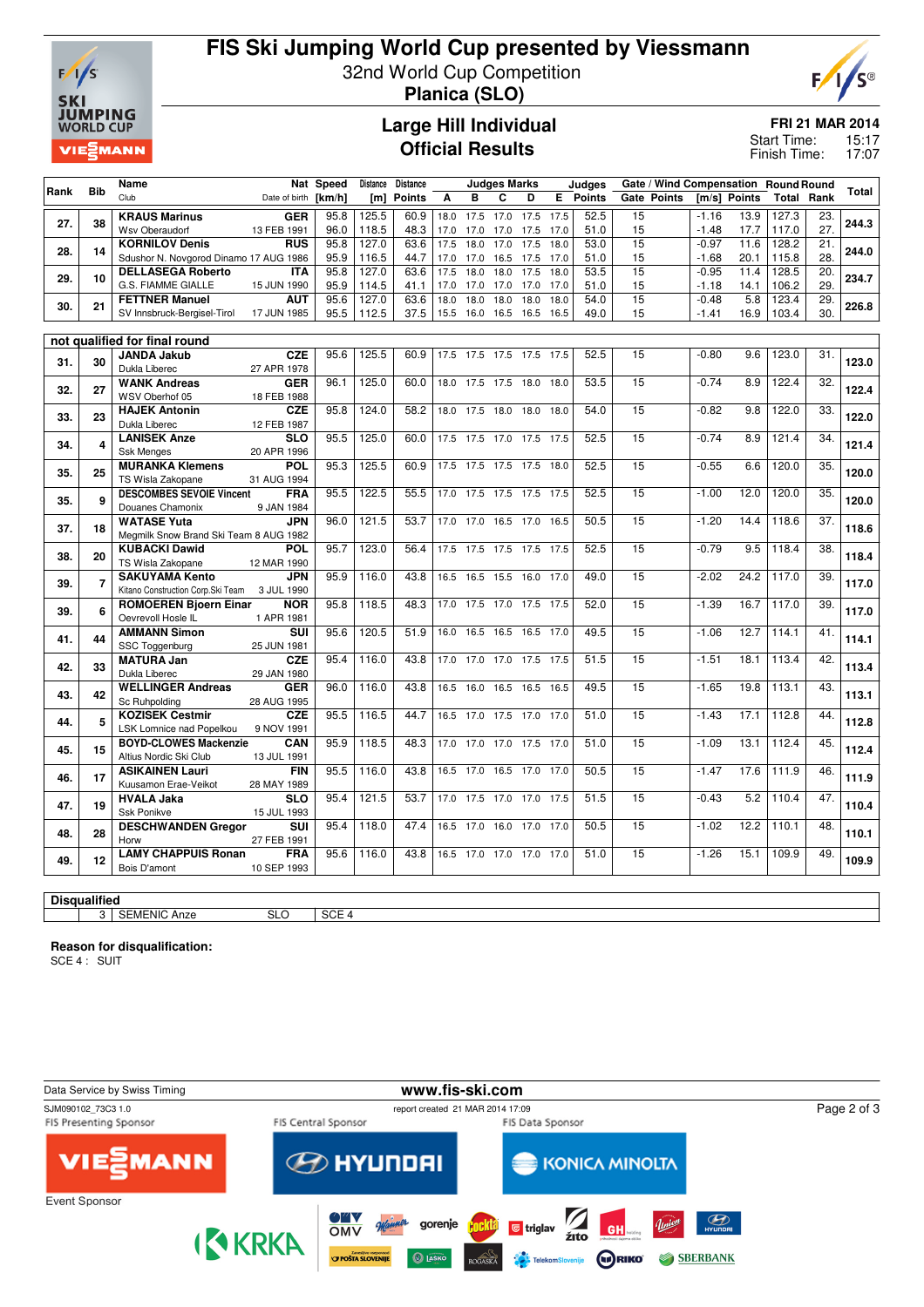

## **FIS Ski Jumping World Cup presented by Viessmann** 32nd World Cup Competition

**Planica (SLO)**



**Large Hill Individual Official Results**

**FRI 21 MAR 2014**

15:17 17:07 Start Time: Finish Time:

|      |                | Name                                         |                           | Nat Speed |       | Distance Distance |      |                     | <b>Judges Marks</b> |                          |      | <b>Judges</b> |                 |         | Gate / Wind Compensation Round Round |       |                   |       |
|------|----------------|----------------------------------------------|---------------------------|-----------|-------|-------------------|------|---------------------|---------------------|--------------------------|------|---------------|-----------------|---------|--------------------------------------|-------|-------------------|-------|
| Rank | <b>Bib</b>     | Club                                         | Date of birth             | [km/h]    |       | [m] Points        | A    | B                   | C                   | D                        |      | E Points      | Gate Points     |         | [m/s] Points                         |       | <b>Total Rank</b> | Total |
|      |                | <b>KRAUS Marinus</b>                         | <b>GER</b>                | 95.8      | 125.5 | 60.9              | 18.0 | 17.5                | 17.0                | 17.5                     | 17.5 | 52.5          | 15              | $-1.16$ | 13.9                                 | 127.3 | 23.               |       |
| 27.  | 38             | Wsv Oberaudorf                               | 13 FEB 1991               | 96.0      | 118.5 | 48.3              | 17.0 | 17.0                | 17.0                | 17.5                     | 17.0 | 51.0          | 15              | $-1.48$ | 17.7                                 | 117.0 | 27.               | 244.3 |
|      |                | <b>KORNILOV Denis</b>                        | <b>RUS</b>                | 95.8      | 127.0 | 63.6              | 17.5 | 18.0                | 17.0                | 17.5                     | 18.0 | 53.0          | 15              | $-0.97$ | 11.6                                 | 128.2 | 21.               |       |
| 28.  | 14             | Sdushor N. Novgorod Dinamo 17 AUG 1986       |                           | 95.9      | 116.5 | 44.7              | 17.0 | 17.0                | 16.5                | 17.5                     | 17.0 | 51.0          | 15              | $-1.68$ | 20.1                                 | 115.8 | 28.               | 244.0 |
|      |                | <b>DELLASEGA Roberto</b>                     | <b>ITA</b>                | 95.8      | 127.0 | 63.6              | 17.5 | 18.0                | 18.0                | 17.5                     | 18.0 | 53.5          | 15              | $-0.95$ | 11.4                                 | 128.5 | 20.               |       |
| 29.  | 10             | G.S. FIAMME GIALLE                           | 15 JUN 1990               | 95.9      | 114.5 | 41.1              | 17.0 | 17.0                | 17.0                | 17.0                     | 17.0 | 51.0          | 15              | $-1.18$ | 14.1                                 | 106.2 | 29.               | 234.7 |
| 30.  | 21             | <b>FETTNER Manuel</b>                        | <b>AUT</b>                | 95.6      | 127.0 | 63.6              | 18.0 | 18.0                | 18.0                | 18.0                     | 18.0 | 54.0          | 15              | $-0.48$ | 5.8                                  | 123.4 | 29.               | 226.8 |
|      |                | SV Innsbruck-Bergisel-Tirol                  | 17 JUN 1985               | 95.5      | 112.5 | 37.5              |      |                     |                     | 15.5 16.0 16.5 16.5 16.5 |      | 49.0          | 15              | $-1.41$ | 16.9                                 | 103.4 | 30.               |       |
|      |                |                                              |                           |           |       |                   |      |                     |                     |                          |      |               |                 |         |                                      |       |                   |       |
|      |                | not qualified for final round                |                           |           |       |                   |      |                     |                     |                          |      |               |                 |         |                                      |       |                   |       |
| 31.  | 30             | <b>JANDA Jakub</b>                           | <b>CZE</b>                | 95.6      | 125.5 | 60.9              |      |                     |                     | 17.5 17.5 17.5 17.5 17.5 |      | 52.5          | 15              | $-0.80$ | 9.6                                  | 123.0 | 31.               | 123.0 |
|      |                | Dukla Liberec                                | 27 APR 1978               |           |       |                   |      |                     |                     |                          |      |               |                 |         |                                      |       |                   |       |
| 32.  | 27             | <b>WANK Andreas</b>                          | <b>GER</b>                | 96.1      | 125.0 | 60.0              |      | 18.0 17.5 17.5 18.0 |                     |                          | 18.0 | 53.5          | 15              | $-0.74$ | 8.9                                  | 122.4 | $\overline{32}$ . | 122.4 |
|      |                | WSV Oberhof 05                               | 18 FEB 1988               |           |       |                   |      |                     |                     |                          |      |               |                 |         |                                      |       |                   |       |
| 33.  | 23             | <b>HAJEK Antonin</b><br>Dukla Liberec        | <b>CZE</b>                | 95.8      | 124.0 | 58.2              |      | 18.0 17.5 18.0      |                     | 18.0                     | 18.0 | 54.0          | 15              | $-0.82$ | 9.8                                  | 122.0 | 33.               | 122.0 |
|      |                | <b>LANISEK Anze</b>                          | 12 FEB 1987<br><b>SLO</b> | 95.5      | 125.0 | 60.0              |      |                     |                     | 17.5 17.5 17.0 17.5 17.5 |      | 52.5          | 15              | $-0.74$ | 8.9                                  | 121.4 | 34.               |       |
| 34.  | 4              | <b>Ssk Menges</b>                            | 20 APR 1996               |           |       |                   |      |                     |                     |                          |      |               |                 |         |                                      |       |                   | 121.4 |
|      |                | <b>MURANKA Klemens</b>                       | <b>POL</b>                | 95.3      | 125.5 | 60.9              |      |                     |                     | 17.5 17.5 17.5 17.5 18.0 |      | 52.5          | 15              | $-0.55$ | 6.6                                  | 120.0 | 35.               |       |
| 35.  | 25             | TS Wisla Zakopane                            | 31 AUG 1994               |           |       |                   |      |                     |                     |                          |      |               |                 |         |                                      |       |                   | 120.0 |
|      |                | <b>DESCOMBES SEVOIE Vincent</b>              | <b>FRA</b>                | 95.5      | 122.5 | 55.5              |      |                     |                     | 17.0 17.5 17.5 17.5 17.5 |      | 52.5          | 15              | $-1.00$ | 12.0                                 | 120.0 | 35.               |       |
| 35.  | 9              | Douanes Chamonix                             | 9 JAN 1984                |           |       |                   |      |                     |                     |                          |      |               |                 |         |                                      |       |                   | 120.0 |
|      |                | <b>WATASE Yuta</b>                           | <b>JPN</b>                | 96.0      | 121.5 | 53.7              |      |                     |                     | 17.0 17.0 16.5 17.0 16.5 |      | 50.5          | 15              | $-1.20$ | 14.4                                 | 118.6 | $\overline{37}$ . |       |
| 37.  | 18             | Megmilk Snow Brand Ski Team 8 AUG 1982       |                           |           |       |                   |      |                     |                     |                          |      |               |                 |         |                                      |       |                   | 118.6 |
|      |                | <b>KUBACKI Dawid</b>                         | <b>POL</b>                | 95.7      | 123.0 | 56.4              |      |                     |                     | 17.5 17.5 17.5 17.5 17.5 |      | 52.5          | 15              | $-0.79$ | 9.5                                  | 118.4 | 38.               |       |
| 38.  | 20             | TS Wisla Zakopane                            | 12 MAR 1990               |           |       |                   |      |                     |                     |                          |      |               |                 |         |                                      |       |                   | 118.4 |
|      | $\overline{7}$ | <b>SAKUYAMA Kento</b>                        | <b>JPN</b>                | 95.9      | 116.0 | 43.8              |      |                     |                     | 16.5 16.5 15.5 16.0 17.0 |      | 49.0          | 15              | $-2.02$ | 24.2                                 | 117.0 | 39.               | 117.0 |
| 39.  |                | Kitano Construction Corp.Ski Team 3 JUL 1990 |                           |           |       |                   |      |                     |                     |                          |      |               |                 |         |                                      |       |                   |       |
| 39.  | 6              | <b>ROMOEREN Bjoern Einar</b>                 | <b>NOR</b>                | 95.8      | 118.5 | 48.3              |      | 17.0 17.5 17.0      |                     | 17.5 17.5                |      | 52.0          | 15              | $-1.39$ | 16.7                                 | 117.0 | 39.               | 117.0 |
|      |                | Oevrevoll Hosle IL                           | 1 APR 1981                |           |       |                   |      |                     |                     |                          |      |               |                 |         |                                      |       |                   |       |
| 41.  | 44             | <b>AMMANN Simon</b>                          | <b>SUI</b>                | 95.6      | 120.5 | 51.9              | 16.0 |                     |                     | 16.5 16.5 16.5 17.0      |      | 49.5          | 15              | $-1.06$ | 12.7                                 | 114.1 | 41.               | 114.1 |
|      |                | SSC Toggenburg                               | 25 JUN 1981               |           |       |                   |      |                     |                     |                          |      |               |                 |         |                                      |       |                   |       |
| 42.  | 33             | <b>MATURA Jan</b>                            | <b>CZE</b>                | 95.4      | 116.0 | 43.8              | 17.0 |                     |                     | 17.0 17.0 17.5 17.5      |      | 51.5          | 15              | $-1.51$ | 18.1                                 | 113.4 | 42.               | 113.4 |
|      |                | Dukla Liberec                                | 29 JAN 1980               |           |       |                   |      |                     |                     |                          |      |               |                 |         |                                      |       |                   |       |
| 43.  | 42             | <b>WELLINGER Andreas</b>                     | <b>GER</b>                | 96.0      | 116.0 | 43.8              |      |                     |                     | 16.5 16.0 16.5 16.5 16.5 |      | 49.5          | $\overline{15}$ | $-1.65$ | 19.8                                 | 113.1 | 43.               | 113.1 |
|      |                | Sc Ruhpolding<br><b>KOZISEK Cestmir</b>      | 28 AUG 1995<br><b>CZE</b> | 95.5      | 116.5 | 44.7              |      | 16.5 17.0 17.5 17.0 |                     |                          | 17.0 | 51.0          | 15              | $-1.43$ | 17.1                                 | 112.8 | 44.               |       |
| 44.  | 5              | LSK Lomnice nad Popelkou                     | 9 NOV 1991                |           |       |                   |      |                     |                     |                          |      |               |                 |         |                                      |       |                   | 112.8 |
|      |                | <b>BOYD-CLOWES Mackenzie</b>                 | <b>CAN</b>                | 95.9      | 118.5 | 48.3              |      |                     |                     | 17.0 17.0 17.0 17.5 17.0 |      | 51.0          | 15              | $-1.09$ | 13.1                                 | 112.4 | 45.               |       |
| 45.  | 15             | Altius Nordic Ski Club                       | 13 JUL 1991               |           |       |                   |      |                     |                     |                          |      |               |                 |         |                                      |       |                   | 112.4 |
|      |                | <b>ASIKAINEN Lauri</b>                       | <b>FIN</b>                | 95.5      | 116.0 | 43.8              |      |                     |                     | 16.5 17.0 16.5 17.0 17.0 |      | 50.5          | 15              | $-1.47$ | 17.6                                 | 111.9 | 46.               |       |
| 46.  | 17             | Kuusamon Erae-Veikot                         | 28 MAY 1989               |           |       |                   |      |                     |                     |                          |      |               |                 |         |                                      |       |                   | 111.9 |
|      |                | <b>HVALA Jaka</b>                            | <b>SLO</b>                | 95.4      | 121.5 | 53.7              |      |                     |                     | 17.0 17.5 17.0 17.0 17.5 |      | 51.5          | 15              | $-0.43$ | 5.2                                  | 110.4 | 47.               |       |
| 47.  | 19             | Ssk Ponikve                                  | 15 JUL 1993               |           |       |                   |      |                     |                     |                          |      |               |                 |         |                                      |       |                   | 110.4 |
|      |                | <b>DESCHWANDEN Gregor</b>                    | <b>SUI</b>                | 95.4      | 118.0 | 47.4              |      |                     |                     | 16.5 17.0 16.0 17.0 17.0 |      | 50.5          | 15              | $-1.02$ | 12.2                                 | 110.1 | 48.               |       |
| 48.  | 28             | Horw                                         | 27 FEB 1991               |           |       |                   |      |                     |                     |                          |      |               |                 |         |                                      |       |                   | 110.1 |
|      |                | <b>LAMY CHAPPUIS Ronan</b>                   | <b>FRA</b>                | 95.6      | 116.0 | 43.8              |      |                     |                     | 16.5 17.0 17.0 17.0 17.0 |      | 51.0          | 15              | $-1.26$ | 15.1                                 | 109.9 | 49.               | 109.9 |
| 49.  | 12             | Bois D'amont                                 | 10 SEP 1993               |           |       |                   |      |                     |                     |                          |      |               |                 |         |                                      |       |                   |       |
|      |                |                                              |                           |           |       |                   |      |                     |                     |                          |      |               |                 |         |                                      |       |                   |       |

# 3 SEMENIC Anze SLO SCE 4

**Reason for disqualification:**

SCE 4 : SUIT

**Disqualified**